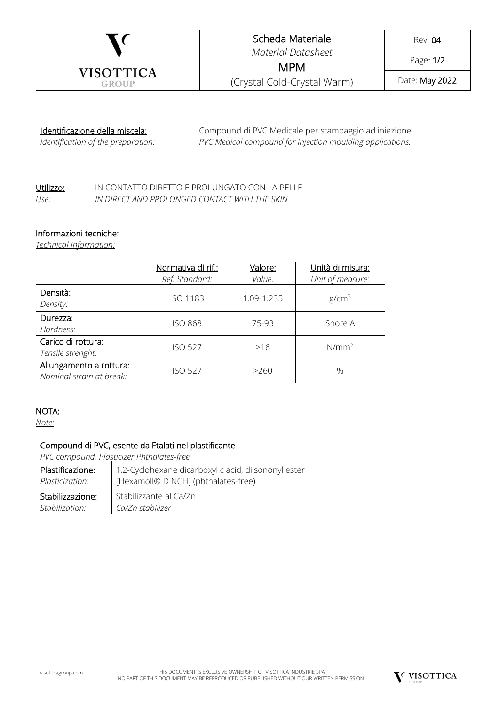

## Scheda Materiale *Material Datasheet*

Rev: 04

Page: 1/2

MPM (Crystal Cold-Crystal Warm)

Date: May 2022

## Identificazione della miscela:

*Identification of the preparation:*

Compound di PVC Medicale per stampaggio ad iniezione. *PVC Medical compound for injection moulding applications.*

## Utilizzo: IN CONTATTO DIRETTO E PROLUNGATO CON LA PELLE *Use: IN DIRECT AND PROLONGED CONTACT WITH THE SKIN*

### Informazioni tecniche:

*Technical information:*

|                                                     | Normativa di rif.:<br>Ref. Standard: | Valore:<br>Value: | Unità di misura:<br>Unit of measure: |
|-----------------------------------------------------|--------------------------------------|-------------------|--------------------------------------|
| Densità:<br>Density:                                | <b>ISO 1183</b>                      | 1.09-1.235        | g/cm <sup>3</sup>                    |
| Durezza:<br>Hardness:                               | <b>ISO 868</b>                       | 75-93             | Shore A                              |
| Carico di rottura:<br>Tensile strenght:             | <b>ISO 527</b>                       | >16               | $N/mm^2$                             |
| Allungamento a rottura:<br>Nominal strain at break: | <b>ISO 527</b>                       | >260              | $\%$                                 |

### NOTA:

*Note:*

## Compound di PVC, esente da Ftalati nel plastificante

*PVC compound, Plasticizer Phthalates-free*

| Plastificazione:<br>Plasticization: | 1,2-Cyclohexane dicarboxylic acid, diisononyl ester<br>  [Hexamoll® DINCH] (phthalates-free) |
|-------------------------------------|----------------------------------------------------------------------------------------------|
| Stabilizzazione:                    | Stabilizzante al Ca/Zn                                                                       |
| Stabilization:                      | Ca/Zn stabilizer                                                                             |